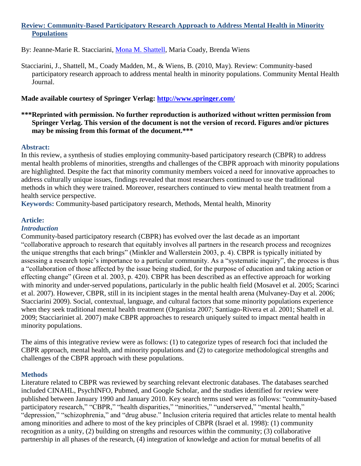# **Review: Community-Based Participatory Research Approach to Address Mental Health in Minority Populations**

By: Jeanne-Marie R. Stacciarini, [Mona M. Shattell,](http://libres.uncg.edu/ir/uncg/clist.aspx?id=1661) Maria Coady, Brenda Wiens

Stacciarini, J., Shattell, M., Coady Madden, M., & Wiens, B. (2010, May). Review: Community-based participatory research approach to address mental health in minority populations. Community Mental Health Journal.

# **Made available courtesy of Springer Verlag:<http://www.springer.com/>**

### **\*\*\*Reprinted with permission. No further reproduction is authorized without written permission from Springer Verlag. This version of the document is not the version of record. Figures and/or pictures may be missing from this format of the document.\*\*\***

#### **Abstract:**

In this review, a synthesis of studies employing community-based participatory research (CBPR) to address mental health problems of minorities, strengths and challenges of the CBPR approach with minority populations are highlighted. Despite the fact that minority community members voiced a need for innovative approaches to address culturally unique issues, findings revealed that most researchers continued to use the traditional methods in which they were trained. Moreover, researchers continued to view mental health treatment from a health service perspective.

**Keywords:** Community-based participatory research, Methods, Mental health, Minority

## **Article:**

### *Introduction*

Community-based participatory research (CBPR) has evolved over the last decade as an important ―collaborative approach to research that equitably involves all partners in the research process and recognizes the unique strengths that each brings" (Minkler and Wallerstein 2003, p. 4). CBPR is typically initiated by assessing a research topic's importance to a particular community. As a "systematic inquiry", the process is thus a "collaboration of those affected by the issue being studied, for the purpose of education and taking action or effecting change" (Green et al. 2003, p. 420). CBPR has been described as an effective approach for working with minority and under-served populations, particularly in the public health field (Mosavel et al. 2005; Scarinci et al. 2007). However, CBPR, still in its incipient stages in the mental health arena (Mulvaney-Day et al. 2006; Stacciarini 2009). Social, contextual, language, and cultural factors that some minority populations experience when they seek traditional mental health treatment (Organista 2007; Santiago-Rivera et al. 2001; Shattell et al. 2009; Stacciariniet al. 2007) make CBPR approaches to research uniquely suited to impact mental health in minority populations.

The aims of this integrative review were as follows: (1) to categorize types of research foci that included the CBPR approach, mental health, and minority populations and (2) to categorize methodological strengths and challenges of the CBPR approach with these populations.

## **Methods**

Literature related to CBPR was reviewed by searching relevant electronic databases. The databases searched included CINAHL, PsychINFO, Pubmed, and Google Scholar, and the studies identified for review were published between January 1990 and January 2010. Key search terms used were as follows: "community-based participatory research," "CBPR," "health disparities," "minorities," "underserved," "mental health," "depression," "schizophrenia," and "drug abuse." Inclusion criteria required that articles relate to mental health among minorities and adhere to most of the key principles of CBPR (Israel et al. 1998): (1) community recognition as a unity, (2) building on strengths and resources within the community; (3) collaborative partnership in all phases of the research, (4) integration of knowledge and action for mutual benefits of all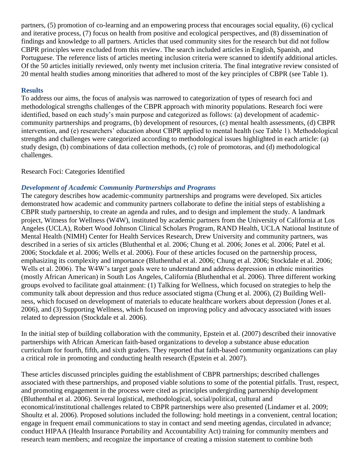partners, (5) promotion of co-learning and an empowering process that encourages social equality, (6) cyclical and iterative process, (7) focus on health from positive and ecological perspectives, and (8) dissemination of findings and knowledge to all partners. Articles that used community sites for the research but did not follow CBPR principles were excluded from this review. The search included articles in English, Spanish, and Portuguese. The reference lists of articles meeting inclusion criteria were scanned to identify additional articles. Of the 50 articles initially reviewed, only twenty met inclusion criteria. The final integrative review consisted of 20 mental health studies among minorities that adhered to most of the key principles of CBPR (see Table 1).

### **Results**

To address our aims, the focus of analysis was narrowed to categorization of types of research foci and methodological strengths challenges of the CBPR approach with minority populations. Research foci were identified, based on each study's main purpose and categorized as follows: (a) development of academiccommunity partnerships and programs, (b) development of resources, (c) mental health assessments, (d) CBPR intervention, and (e) researchers' education about CBPR applied to mental health (see Table 1). Methodological strengths and challenges were categorized according to methodological issues highlighted in each article: (a) study design, (b) combinations of data collection methods, (c) role of promotoras, and (d) methodological challenges.

### Research Foci: Categories Identified

## *Development of Academic Community Partnerships and Programs*

The category describes how academic-community partnerships and programs were developed. Six articles demonstrated how academic and community partners collaborate to define the initial steps of establishing a CBPR study partnership, to create an agenda and rules, and to design and implement the study. A landmark project, Witness for Wellness (W4W), instituted by academic partners from the University of California at Los Angeles (UCLA), Robert Wood Johnson Clinical Scholars Program, RAND Health, UCLA National Institute of Mental Health (NIMH) Center for Health Services Research, Drew University and community partners, was described in a series of six articles (Bluthenthal et al. 2006; Chung et al. 2006; Jones et al. 2006; Patel et al. 2006; Stockdale et al. 2006; Wells et al. 2006). Four of these articles focused on the partnership process, emphasizing its complexity and importance (Bluthenthal et al. 2006; Chung et al. 2006; Stockdale et al. 2006; Wells et al. 2006). The W4W's target goals were to understand and address depression in ethnic minorities (mostly African American) in South Los Angeles, California (Bluthenthal et al. 2006). Three different working groups evolved to facilitate goal attainment: (1) Talking for Wellness, which focused on strategies to help the community talk about depression and thus reduce associated stigma (Chung et al. 2006), (2) Building Wellness, which focused on development of materials to educate healthcare workers about depression (Jones et al. 2006), and (3) Supporting Wellness, which focused on improving policy and advocacy associated with issues related to depression (Stockdale et al. 2006).

In the initial step of building collaboration with the community, Epstein et al. (2007) described their innovative partnerships with African American faith-based organizations to develop a substance abuse education curriculum for fourth, fifth, and sixth graders. They reported that faith-based community organizations can play a critical role in promoting and conducting health research (Epstein et al. 2007).

These articles discussed principles guiding the establishment of CBPR partnerships; described challenges associated with these partnerships, and proposed viable solutions to some of the potential pitfalls. Trust, respect, and promoting engagement in the process were cited as principles undergirding partnership development (Bluthenthal et al. 2006). Several logistical, methodological, social/political, cultural and economical/institutional challenges related to CBPR partnerships were also presented (Lindamer et al. 2009; Shoultz et al. 2006). Proposed solutions included the following: hold meetings in a convenient, central location; engage in frequent email communications to stay in contact and send meeting agendas, circulated in advance; conduct HIPAA (Health Insurance Portability and Accountability Act) training for community members and research team members; and recognize the importance of creating a mission statement to combine both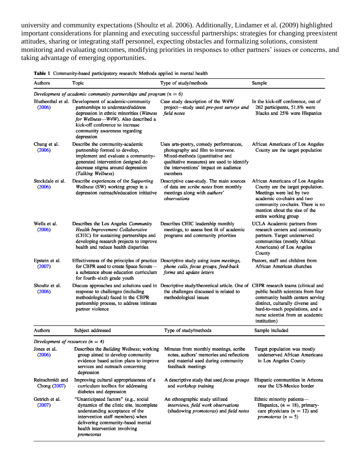university and community expectations (Shoultz et al. 2006). Additionally, Lindamer et al. (2009) highlighted important considerations for planning and executing successful partnerships: strategies for changing preexistent attitudes, sharing or integrating staff personnel, expecting obstacles and formalizing solutions, consistent monitoring and evaluating outcomes, modifying priorities in responses to other partners' issues or concerns, and taking advantage of emerging opportunities.

| Table 1 Community-based participatory research: Methods applied in mental health |
|----------------------------------------------------------------------------------|
|----------------------------------------------------------------------------------|

| Authors                            | Topic                                                                                                                                                                                                                                                           | Type of study/methods                                                                                                                                                                                             | Sample                                                                                                                                                                                                                       |
|------------------------------------|-----------------------------------------------------------------------------------------------------------------------------------------------------------------------------------------------------------------------------------------------------------------|-------------------------------------------------------------------------------------------------------------------------------------------------------------------------------------------------------------------|------------------------------------------------------------------------------------------------------------------------------------------------------------------------------------------------------------------------------|
|                                    | Development of academic community partnerships and program ( $n = 6$ )                                                                                                                                                                                          |                                                                                                                                                                                                                   |                                                                                                                                                                                                                              |
| (2006)                             | Bluthenthal et al. Development of academic-community<br>partnerships to understand/address<br>depression in ethnic minorities (Witness<br>for Wellness-W4W). Also described a<br>kick-off conference to increase<br>community awareness regarding<br>depression | Case study description of the W4W<br>project-study used pre-post surveys and<br>field notes                                                                                                                       | In the kick-off conference, out of<br>262 participants, 51.8% were<br>Blacks and 25% were Hispanics                                                                                                                          |
| Chung et al.<br>(2006)             | Describe the community-academic<br>partnership formed to develop,<br>implement and evaluate a community-<br>generated intervention designed do<br>decrease stigma around depression<br>(Talking Wellness)                                                       | Uses arts-poetry, comedy performances,<br>photography and film to intervene.<br>Mixed-methods (quantitative and<br>qualitative measures) are used to identify<br>the interventions' impact on audience<br>members | African Americans of Los Angeles<br>County are the target population                                                                                                                                                         |
| Stockdale et al.<br>(2006)         | Describe experiences of the Supporting<br>Wellness (SW) working group in a<br>depression outreach/education initiative                                                                                                                                          | Descriptive case-study. The main sources<br>of data are scribe notes from monthly<br>meetings along with authors'<br>observations                                                                                 | African Americans of Los Angeles<br>County are the target population.<br>Meetings were led by two<br>academic co-chairs and two<br>community co-chairs. There is no<br>mention about the size of the<br>entire working group |
| Wells et al.<br>(2006)             | Describes the Los Angeles Community<br>Health Improvement Collaborative<br>(CHIC) for sustaining partnerships and<br>developing research projects to improve<br>health and reduce health disparities                                                            | Describes CHIC leadership monthly<br>meetings, to assess best fit of academic<br>programs and community priorities                                                                                                | UCLA Academic partners from<br>research centers and community<br>partners. Target underserved<br>communities (mostly African<br>Americans) of Los Angeles<br>County                                                          |
| Epstein et al.<br>(2007)           | Effectiveness of the principles of practice<br>for CBPR used to create Space Scouts-<br>a substance abuse education curriculum<br>for fourth-sixth grade youth                                                                                                  | Descriptive study using team meetings,<br>phone calls, focus groups, feed-back<br>forms and update letters                                                                                                        | Pastors, staff and children from<br>African American churches                                                                                                                                                                |
| Shoultz et al.<br>(2006)           | response to challenges (including<br>methodological) faced in the CBPR<br>partnership process, to address intimate<br>partner violence                                                                                                                          | Discuss approaches and solutions used in Descriptive study/theoretical article. One of CBPR research teams (clinical and<br>the challenges discussed is related to<br>methodological issues                       | public health scientists from four<br>community health centers serving<br>distinct, culturally diverse and<br>hard-to-reach populations, and a<br>nurse scientist from an academic<br>institution)                           |
| Authors                            | Subject addressed                                                                                                                                                                                                                                               | Type of study/methods                                                                                                                                                                                             | Sample included                                                                                                                                                                                                              |
| Development of resources $(n = 4)$ |                                                                                                                                                                                                                                                                 |                                                                                                                                                                                                                   |                                                                                                                                                                                                                              |
| Jones et al.<br>(2006)             | Describes the Building Wellness; working<br>group aimed to develop community<br>evidence based action plans to improve<br>services and outreach concerning<br>depression                                                                                        | Minutes from monthly meetings, scribe<br>notes, authors' memories and reflections<br>and material used during community<br>feedback meetings                                                                      | Target population was mostly<br>underserved African Americans<br>in Los Angeles County                                                                                                                                       |
| Reinschmidt and<br>Chong (2007)    | Improving cultural appropriateness of a<br>curriculum toolbox for addressing<br>diabetes and depression                                                                                                                                                         | A descriptive study that used <i>focus groups</i><br>and workshop training                                                                                                                                        | Hispanic communities in Arizona<br>near the US-Mexico border                                                                                                                                                                 |
| Getrich et al.<br>(2007)           | "Unanticipated factors" (e.g., social<br>dynamics of the clinic site, incomplete<br>understanding acceptance of the<br>intervention staff members) when<br>delivering community-based mental<br>health intervention involving<br>promotoras                     | An ethnographic study utilized<br>interviews, field work observations<br>(shadowing promotoras) and field notes                                                                                                   | Ethnic minority patients-<br>Hispanics, $(n = 18)$ , primary-<br>care physicians $(n = 12)$ and<br>promotoras $(n = 5)$                                                                                                      |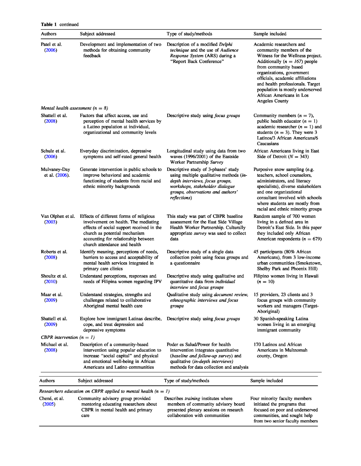| Table 1 | continued |
|---------|-----------|
|         |           |

| <b>Authors</b>                       | Subject addressed                                                                                                                                                                                                                    | Type of study/methods                                                                                                                                                                                      | Sample included                                                                                                                                                                                                                                                                                                                                      |
|--------------------------------------|--------------------------------------------------------------------------------------------------------------------------------------------------------------------------------------------------------------------------------------|------------------------------------------------------------------------------------------------------------------------------------------------------------------------------------------------------------|------------------------------------------------------------------------------------------------------------------------------------------------------------------------------------------------------------------------------------------------------------------------------------------------------------------------------------------------------|
| Patel et al.<br>(2006)               | Development and implementation of two<br>methods for obtaining community<br>feedback                                                                                                                                                 | Description of a modified Delphi<br>technique and the use of Audience<br>Response System (ARS) during a<br>"Report Back Conference"                                                                        | Academic researchers and<br>community members of the<br>Witness for the Wellness project.<br>Additionally ( $n = 167$ ) people<br>from community based<br>organizations, government<br>officials, academic affiliations<br>and health professionals. Target<br>population is mostly underserved<br>African Americans in Los<br><b>Angeles County</b> |
| Mental health assessment ( $n = 8$ ) |                                                                                                                                                                                                                                      |                                                                                                                                                                                                            |                                                                                                                                                                                                                                                                                                                                                      |
| Shattell et al.<br>(2008)            | Factors that affect access, use and<br>perception of mental health services by<br>a Latino population at individual,<br>organizational and community levels                                                                          | Descriptive study using <i>focus groups</i>                                                                                                                                                                | Community members $(n = 7)$ ,<br>public health educator $(n = 1)$<br>academic researcher $(n = 1)$ and<br>students ( $n = 3$ ). They were 3<br>Latinos/3 African Americans/6<br>Caucasians                                                                                                                                                           |
| Schulz et al.<br>(2006)              | Everyday discrimination, depressive<br>symptoms and self-rated general health                                                                                                                                                        | Longitudinal study using data from two<br>waves (1996/2001) of the Eastside<br>Worker Partnership Survey                                                                                                   | African Americans living in East<br>Side of Detroit ( $N = 343$ )                                                                                                                                                                                                                                                                                    |
| Mulvaney-Day<br>et al. (2006).       | Generate intervention in public schools to<br>improve behavioral and academic<br>functioning of students from racial and<br>ethnic minority backgrounds                                                                              | Descriptive study of 3-phases' study<br>using multiple qualitative methods (in-<br>depth interviews, focus groups,<br>workshops, stakeholder dialogue<br>groups, observations and authors'<br>reflections) | Purposive snow sampling (e.g.<br>teachers, school counselors,<br>administrators, and literacy<br>specialists), diverse stakeholders<br>and one organizational<br>consultant involved with schools<br>where students are mostly from<br>racial and ethnic minority groups                                                                             |
| Van Olphen et al.<br>(2003)          | Effects of different forms of religious<br>involvement on health. The mediating<br>effects of social support received in the<br>church as potential mechanism<br>accounting for relationship between<br>church attendance and health | This study was part of CBPR baseline<br>assessment for the East Side Village<br>Health Worker Partnership. Culturally<br>appropriate survey was used to collect<br>data                                    | Random sample of 700 women<br>living in a defined area in<br>Detroit's East Side. In this paper<br>they included only African<br>American respondents ( $n = 679$ )                                                                                                                                                                                  |
| Roberts et al.<br>(2008)             | Identify meaning, perceptions of needs,<br>barriers to access and acceptability of<br>mental health services integrated in<br>primary care clinics                                                                                   | Descriptive study of a single data<br>collection point using focus groups and<br>a questionnaire                                                                                                           | 45 participants (80% African<br>Americans), from 3 low-income<br>urban communities (Smoketown,<br>Shelby Park and Phoenix Hill)                                                                                                                                                                                                                      |
| Shoultz et al.<br>(2010)             | Understand perceptions, responses and<br>needs of Filipina women regarding IPV                                                                                                                                                       | Descriptive study using qualitative and<br>quantitative data from individual<br>interview and focus groups                                                                                                 | Filipino women living in Hawaii<br>$(n = 10)$                                                                                                                                                                                                                                                                                                        |
| Maar et al.<br>(2009)                | Understand strategies, strengths and<br>challenges related to collaborative<br>Aboriginal mental health care                                                                                                                         | Qualitative study using document review,<br>ethnographic interviews and focus<br>groups                                                                                                                    | 15 providers, 23 clients and 3<br>focus groups with community<br>workers and managers (Target-<br>Aboriginal)                                                                                                                                                                                                                                        |
| Shattell et al.<br>(2009)            | Explore how immigrant Latinas describe,<br>cope, and treat depression and<br>depressive symptoms                                                                                                                                     | Descriptive study using <i>focus groups</i>                                                                                                                                                                | 30 Spanish-speaking Latina<br>women living in an emerging<br>immigrant community                                                                                                                                                                                                                                                                     |
| CBPR intervention $(n = 1)$          |                                                                                                                                                                                                                                      |                                                                                                                                                                                                            |                                                                                                                                                                                                                                                                                                                                                      |
| Michael et al.<br>(2008)             | Description of a community-based<br>intervention using popular education to<br>increase "social capital" and physical<br>and emotional well-being in African<br>Americans and Latino communities                                     | Poder es Salud/Power for health<br>intervention integrates quantitative<br>(baseline and follow-up survey) and<br>qualitative (in-depth interviews)<br>methods for data collection and analysis            | 170 Latinos and African<br>Americans in Multnomah<br>county, Oregon                                                                                                                                                                                                                                                                                  |
| Authors                              | Subject addressed                                                                                                                                                                                                                    | Type of study/methods                                                                                                                                                                                      | Sample included                                                                                                                                                                                                                                                                                                                                      |
|                                      | Researchers education on CBPR applied to mental health ( $n = 1$ )                                                                                                                                                                   |                                                                                                                                                                                                            |                                                                                                                                                                                                                                                                                                                                                      |
| Chené, et al.<br>(2005)              | Community advisory group provided<br>mentoring educating researchers about<br>CBPR in mental health and primary<br>care                                                                                                              | Describes <i>training</i> institutes where<br>members of community advisory board<br>presented plenary sessions on research<br>collaboration with communities                                              | Four minority faculty members<br>initiated the programs that<br>focused on poor and underserved<br>communities, and sought help<br>from two senior faculty members                                                                                                                                                                                   |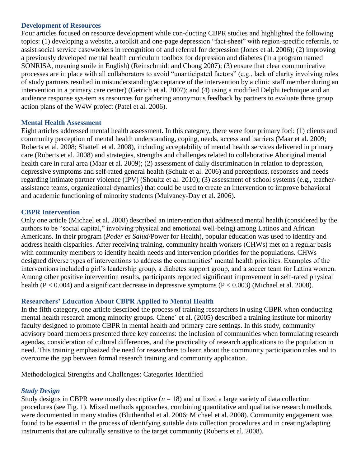#### **Development of Resources**

Four articles focused on resource development while con-ducting CBPR studies and highlighted the following topics: (1) developing a website, a toolkit and one-page depression "fact-sheet" with region-specific referrals, to assist social service caseworkers in recognition of and referral for depression (Jones et al. 2006); (2) improving a previously developed mental health curriculum toolbox for depression and diabetes (in a program named SONRISA, meaning smile in English) (Reinschmidt and Chong 2007); (3) ensure that clear communicative processes are in place with all collaborators to avoid "unanticipated factors" (e.g., lack of clarity involving roles of study partners resulted in misunderstanding/acceptance of the intervention by a clinic staff member during an intervention in a primary care center) (Getrich et al. 2007); and (4) using a modified Delphi technique and an audience response sys-tem as resources for gathering anonymous feedback by partners to evaluate three group action plans of the W4W project (Patel et al. 2006).

## **Mental Health Assessment**

Eight articles addressed mental health assessment. In this category, there were four primary foci: (1) clients and community perception of mental health understanding, coping, needs, access and barriers (Maar et al. 2009; Roberts et al. 2008; Shattell et al. 2008), including acceptability of mental health services delivered in primary care (Roberts et al. 2008) and strategies, strengths and challenges related to collaborative Aboriginal mental health care in rural area (Maar et al. 2009); (2) assessment of daily discrimination in relation to depression, depressive symptoms and self-rated general health (Schulz et al. 2006) and perceptions, responses and needs regarding intimate partner violence (IPV) (Shoultz et al. 2010); (3) assessment of school systems (e.g., teacherassistance teams, organizational dynamics) that could be used to create an intervention to improve behavioral and academic functioning of minority students (Mulvaney-Day et al. 2006).

## **CBPR Intervention**

Only one article (Michael et al. 2008) described an intervention that addressed mental health (considered by the authors to be "social capital," involving physical and emotional well-being) among Latinos and African Americans. In their program (*Poder es Salud*/Power for Health), popular education was used to identify and address health disparities. After receiving training, community health workers (CHWs) met on a regular basis with community members to identify health needs and intervention priorities for the populations. CHWs designed diverse types of interventions to address the communities' mental health priorities. Examples of the interventions included a girl's leadership group, a diabetes support group, and a soccer team for Latina women. Among other positive intervention results, participants reported significant improvement in self-rated physical health (P < 0.004) and a significant decrease in depressive symptoms (P < 0.003) (Michael et al. 2008).

## **Researchers' Education About CBPR Applied to Mental Health**

In the fifth category, one article described the process of training researchers in using CBPR when conducting mental health research among minority groups. Chene´ et al. (2005) described a training institute for minority faculty designed to promote CBPR in mental health and primary care settings. In this study, community advisory board members presented three key concerns: the inclusion of communities when formulating research agendas, consideration of cultural differences, and the practicality of research applications to the population in need. This training emphasized the need for researchers to learn about the community participation roles and to overcome the gap between formal research training and community application.

Methodological Strengths and Challenges: Categories Identified

## *Study Design*

Study designs in CBPR were mostly descriptive  $(n = 18)$  and utilized a large variety of data collection procedures (see Fig. 1). Mixed methods approaches, combining quantitative and qualitative research methods, were documented in many studies (Bluthenthal et al. 2006; Michael et al. 2008). Community engagement was found to be essential in the process of identifying suitable data collection procedures and in creating/adapting instruments that are culturally sensitive to the target community (Roberts et al. 2008).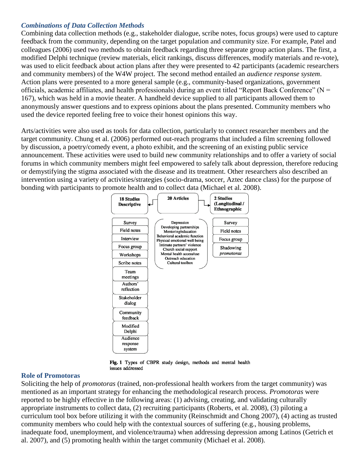## *Combinations of Data Collection Methods*

Combining data collection methods (e.g., stakeholder dialogue, scribe notes, focus groups) were used to capture feedback from the community, depending on the target population and community size. For example, Patel and colleagues (2006) used two methods to obtain feedback regarding three separate group action plans. The first, a modified Delphi technique (review materials, elicit rankings, discuss differences, modify materials and re-vote), was used to elicit feedback about action plans after they were presented to 42 participants (academic researchers and community members) of the W4W project. The second method entailed an *audience response system*. Action plans were presented to a more general sample (e.g., community-based organizations, government officials, academic affiliates, and health professionals) during an event titled "Report Back Conference" ( $N =$ 167), which was held in a movie theater. A handheld device supplied to all participants allowed them to anonymously answer questions and to express opinions about the plans presented. Community members who used the device reported feeling free to voice their honest opinions this way.

Arts/activities were also used as tools for data collection, particularly to connect researcher members and the target community. Chung et al. (2006) performed out-reach programs that included a film screening followed by discussion, a poetry/comedy event, a photo exhibit, and the screening of an existing public service announcement. These activities were used to build new community relationships and to offer a variety of social forums in which community members might feel empowered to safely talk about depression, therefore reducing or demystifying the stigma associated with the disease and its treatment. Other researchers also described an intervention using a variety of activities/strategies (socio-drama, soccer, Aztec dance class) for the purpose of bonding with participants to promote health and to collect data (Michael et al. 2008).





#### **Role of Promotoras**

Soliciting the help of *promotoras* (trained, non-professional health workers from the target community) was mentioned as an important strategy for enhancing the methodological research process. *Promotoras* were reported to be highly effective in the following areas: (1) advising, creating, and validating culturally appropriate instruments to collect data, (2) recruiting participants (Roberts, et al. 2008), (3) piloting a curriculum tool box before utilizing it with the community (Reinschmidt and Chong 2007), (4) acting as trusted community members who could help with the contextual sources of suffering (e.g., housing problems, inadequate food, unemployment, and violence/trauma) when addressing depression among Latinos (Getrich et al. 2007), and (5) promoting health within the target community (Michael et al. 2008).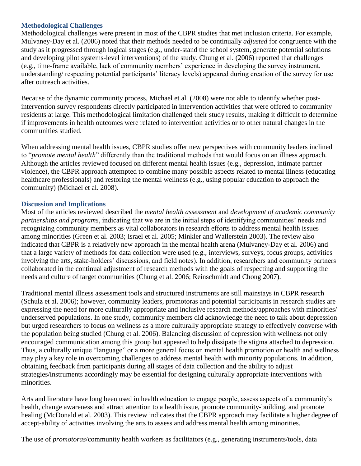### **Methodological Challenges**

Methodological challenges were present in most of the CBPR studies that met inclusion criteria. For example, Mulvaney-Day et al. (2006) noted that their methods needed to be continually *adjusted* for congruence with the study as it progressed through logical stages (e.g., under-stand the school system, generate potential solutions and developing pilot systems-level interventions) of the study. Chung et al. (2006) reported that challenges (e.g., time-frame available, lack of community members' experience in developing the survey instrument, understanding/ respecting potential participants' literacy levels) appeared during creation of the survey for use after outreach activities.

Because of the dynamic community process, Michael et al. (2008) were not able to identify whether postintervention survey respondents directly participated in intervention activities that were offered to community residents at large. This methodological limitation challenged their study results, making it difficult to determine if improvements in health outcomes were related to intervention activities or to other natural changes in the communities studied.

When addressing mental health issues, CBPR studies offer new perspectives with community leaders inclined to "*promote mental health*" differently than the traditional methods that would focus on an illness approach. Although the articles reviewed focused on different mental health issues (e.g., depression, intimate partner violence), the CBPR approach attempted to combine many possible aspects related to mental illness (educating healthcare professionals) and restoring the mental wellness (e.g., using popular education to approach the community) (Michael et al. 2008).

#### **Discussion and Implications**

Most of the articles reviewed described the *mental health assessment* and *development of academic community partnerships and programs*, indicating that we are in the initial steps of identifying communities' needs and recognizing community members as vital collaborators in research efforts to address mental health issues among minorities (Green et al. 2003; Israel et al. 2005; Minkler and Wallerstein 2003). The review also indicated that CBPR is a relatively new approach in the mental health arena (Mulvaney-Day et al. 2006) and that a large variety of methods for data collection were used (e.g., interviews, surveys, focus groups, activities involving the arts, stake-holders' discussions, and field notes). In addition, researchers and community partners collaborated in the continual adjustment of research methods with the goals of respecting and supporting the needs and culture of target communities (Chung et al. 2006; Reinschmidt and Chong 2007).

Traditional mental illness assessment tools and structured instruments are still mainstays in CBPR research (Schulz et al. 2006); however, community leaders, promotoras and potential participants in research studies are expressing the need for more culturally appropriate and inclusive research methods/approaches with minorities/ underserved populations. In one study, community members did acknowledge the need to talk about depression but urged researchers to focus on wellness as a more culturally appropriate strategy to effectively converse with the population being studied (Chung et al. 2006). Balancing discussion of depression with wellness not only encouraged communication among this group but appeared to help dissipate the stigma attached to depression. Thus, a culturally unique "language" or a more general focus on mental health promotion or health and wellness may play a key role in overcoming challenges to address mental health with minority populations. In addition, obtaining feedback from participants during all stages of data collection and the ability to adjust strategies/instruments accordingly may be essential for designing culturally appropriate interventions with minorities.

Arts and literature have long been used in health education to engage people, assess aspects of a community's health, change awareness and attract attention to a health issue, promote community-building, and promote healing (McDonald et al. 2003). This review indicates that the CBPR approach may facilitate a higher degree of accept-ability of activities involving the arts to assess and address mental health among minorities.

The use of *promotoras*/community health workers as facilitators (e.g., generating instruments/tools, data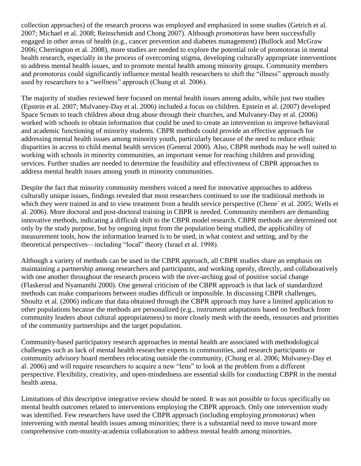collection approaches) of the research process was employed and emphasized in some studies (Getrich et al. 2007; Michael et al. 2008; Reinschmidt and Chong 2007). Although *promotoras* have been successfully engaged in other areas of health (e.g., cancer prevention and diabetes management) (Bullock and McGraw 2006; Cherrington et al. 2008), more studies are needed to explore the potential role of promotoras in mental health research, especially in the process of overcoming stigma, developing culturally appropriate interventions to address mental health issues, and to promote mental health among minority groups. Community members and *promotoras* could significantly influence mental health researchers to shift the "illness" approach mostly used by researchers to a "*wellness*" approach (Chung et al. 2006).

The majority of studies reviewed here focused on mental health issues among adults, while just two studies (Epstein et al. 2007; Mulvaney-Day et al. 2006) included a focus on children. Epstein et al. (2007) developed Space Scouts to teach children about drug abuse through their churches, and Mulvaney-Day et al. (2006) worked with schools to obtain information that could be used to create an intervention to improve behavioral and academic functioning of minority students. CBPR methods could provide an effective approach for addressing mental health issues among minority youth, particularly because of the need to reduce ethnic disparities in access to child mental health services (General 2000). Also, CBPR methods may be well suited to working with schools in minority communities, an important venue for reaching children and providing services. Further studies are needed to determine the feasibility and effectiveness of CBPR approaches to address mental health issues among youth in minority communities.

Despite the fact that minority community members voiced a need for innovative approaches to address culturally unique issues, findings revealed that most researchers continued to use the traditional methods in which they were trained in and to view treatment from a health service perspective (Chene´ et al. 2005; Wells et al. 2006). More doctoral and post-doctoral training in CBPR is needed. Community members are demanding innovative methods, indicating a difficult shift to the CBPR model research. CBPR methods are determined not only by the study purpose, but by ongoing input from the population being studied, the applicability of measurement tools, how the information learned is to be used, in what context and setting, and by the theoretical perspectives—including "local" theory (Israel et al. 1998).

Although a variety of methods can be used in the CBPR approach, all CBPR studies share an emphasis on maintaining a partnership among researchers and participants, and working openly, directly, and collaboratively with one another throughout the research process with the over-arching goal of positive social change (Flaskerud and Nyamanthi 2000). One general criticism of the CBPR approach is that lack of standardized methods can make comparisons between studies difficult or impossible. In discussing CBPR challenges, Shoultz et al. (2006) indicate that data obtained through the CBPR approach may have a limited application to other populations because the methods are personalized (e.g., instrument adaptations based on feedback from community leaders about cultural appropriateness) to more closely mesh with the needs, resources and priorities of the community partnerships and the target population.

Community-based participatory research approaches in mental health are associated with methodological challenges such as lack of mental health researcher experts in communities, and research participants or community advisory board members relocating outside the community, (Chung et al. 2006; Mulvaney-Day et al. 2006) and will require researchers to acquire a new "lens" to look at the problem from a different perspective. Flexibility, creativity, and open-mindedness are essential skills for conducting CBPR in the mental health arena.

Limitations of this descriptive integrative review should be noted. It was not possible to focus specifically on mental health *outcomes* related to interventions employing the CBPR approach. Only one intervention study was identified. Few researchers have used the CBPR approach (including employing *promotoras*) when intervening with mental health issues among minorities; there is a substantial need to move toward more comprehensive com-munity-academia collaboration to address mental health among minorities.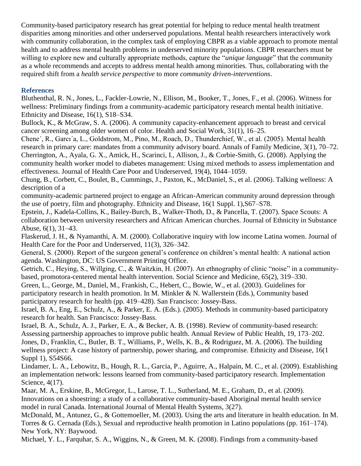Community-based participatory research has great potential for helping to reduce mental health treatment disparities among minorities and other underserved populations. Mental health researchers interactively work with community collaboration, in the complex task of employing CBPR as a viable approach to promote mental health and to address mental health problems in underserved minority populations. CBPR researchers must be willing to explore new and culturally appropriate methods, capture the "*unique language*" that the community as a whole recommends and accepts to address mental health among minorities. Thus, collaborating with the required shift from a *health service perspective* to more *community driven-interventions*.

# **References**

Bluthenthal, R. N., Jones, L., Fackler-Lowrie, N., Ellison, M., Booker, T., Jones, F., et al. (2006). Witness for wellness: Preliminary findings from a community-academic participatory research mental health initiative. Ethnicity and Disease, 16(1), S18–S34.

Bullock, K., & McGraw, S. A. (2006). A community capacity-enhancement approach to breast and cervical cancer screening among older women of color. Health and Social Work, 31(1), 16–25.

Chene´, R., Garcı´a, L., Goldstrom, M., Pino, M., Roach, D., Thunderchief, W., et al. (2005). Mental health research in primary care: mandates from a community advisory board. Annals of Family Medicine, 3(1), 70–72. Cherrington, A., Ayala, G. X., Amick, H., Scarinci, I., Allison, J., & Corbie-Smith, G. (2008). Applying the community health worker model to diabetes management: Using mixed methods to assess implementation and effectiveness. Journal of Health Care Poor and Underserved, 19(4), 1044–1059.

Chung, B., Corbett, C., Boulet, B., Cummings, J., Paxton, K., McDaniel, S., et al. (2006). Talking wellness: A description of a

community-academic partnered project to engage an African-American community around depression through the use of poetry, film and photography. Ethnicity and Disease, 16(1 Suppl. 1),S67–S78.

Epstein, J., Kadela-Collins, K., Bailey-Burch, B., Walker-Thoth, D., & Pancella, T. (2007). Space Scouts: A collaboration between university researchers and African American churches. Journal of Ethnicity in Substance Abuse, 6(1), 31–43.

Flaskerud, J. H., & Nyamanthi, A. M. (2000). Collaborative inquiry with low income Latina women. Journal of Health Care for the Poor and Underserved, 11(3), 326–342.

General, S. (2000). Report of the surgeon general's conference on children's mental health: A national action agenda. Washington, DC: US Government Printing Office.

Getrich, C., Heying, S., Willging, C., & Waitzkin, H. (2007). An ethnography of clinic "noise" in a communitybased, promotora-centered mental health intervention. Social Science and Medicine, 65(2), 319–330.

Green, L., George, M., Daniel, M., Frankish, C., Hebert, C., Bowie, W., et al. (2003). Guidelines for participatory research in health promotion. In M. Minkler & N. Wallerstein (Eds.), Community based participatory research for health (pp. 419–428). San Francisco: Jossey-Bass.

Israel, B. A., Eng, E., Schulz, A., & Parker, E. A. (Eds.). (2005). Methods in community-based participatory research for health. San Francisco: Jossey-Bass.

Israel, B. A., Schulz, A. J., Parker, E. A., & Becker, A. B. (1998). Review of community-based research: Assessing partnership approaches to improve public health. Annual Review of Public Health, 19, 173–202. Jones, D., Franklin, C., Butler, B. T., Williams, P., Wells, K. B., & Rodriguez, M. A. (2006). The building wellness project: A case history of partnership, power sharing, and compromise. Ethnicity and Disease, 16(1 Suppl 1), S54S66.

Lindamer, L. A., Lebowitz, B., Hough, R. L., Garcia, P., Aguirre, A., Halpain, M. C., et al. (2009). Establishing an implementation network: lessons learned from community-based participatory research. Implementation Science, 4(17).

Maar, M. A., Erskine, B., McGregor, L., Larose, T. L., Sutherland, M. E., Graham, D., et al. (2009). Innovations on a shoestring: a study of a collaborative community-based Aboriginal mental health service model in rural Canada. International Journal of Mental Health Systems, 3(27).

McDonald, M., Antunez, G., & Gottemoeller, M. (2003). Using the arts and literature in health education. In M. Torres & G. Cernada (Eds.), Sexual and reproductive health promotion in Latino populations (pp. 161–174). New York, NY: Baywood.

Michael, Y. L., Farquhar, S. A., Wiggins, N., & Green, M. K. (2008). Findings from a community-based